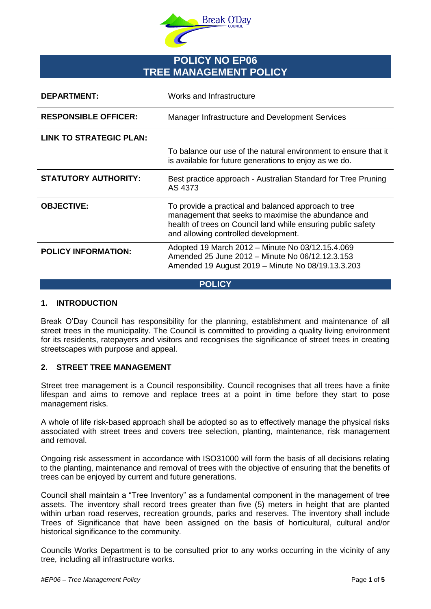

# **POLICY NO EP06 TREE MANAGEMENT POLICY**

| DEPARTMENT:                    | Works and Infrastructure                                                                                                                                                                                            |
|--------------------------------|---------------------------------------------------------------------------------------------------------------------------------------------------------------------------------------------------------------------|
| <b>RESPONSIBLE OFFICER:</b>    | Manager Infrastructure and Development Services                                                                                                                                                                     |
| <b>LINK TO STRATEGIC PLAN:</b> |                                                                                                                                                                                                                     |
|                                | To balance our use of the natural environment to ensure that it<br>is available for future generations to enjoy as we do.                                                                                           |
| <b>STATUTORY AUTHORITY:</b>    | Best practice approach - Australian Standard for Tree Pruning<br>AS 4373                                                                                                                                            |
| <b>OBJECTIVE:</b>              | To provide a practical and balanced approach to tree<br>management that seeks to maximise the abundance and<br>health of trees on Council land while ensuring public safety<br>and allowing controlled development. |
| <b>POLICY INFORMATION:</b>     | Adopted 19 March 2012 - Minute No 03/12.15.4.069<br>Amended 25 June 2012 - Minute No 06/12.12.3.153<br>Amended 19 August 2019 - Minute No 08/19.13.3.203                                                            |

#### **POLICY**

# **1. INTRODUCTION**

Break O'Day Council has responsibility for the planning, establishment and maintenance of all street trees in the municipality. The Council is committed to providing a quality living environment for its residents, ratepayers and visitors and recognises the significance of street trees in creating streetscapes with purpose and appeal.

# **2. STREET TREE MANAGEMENT**

Street tree management is a Council responsibility. Council recognises that all trees have a finite lifespan and aims to remove and replace trees at a point in time before they start to pose management risks.

A whole of life risk-based approach shall be adopted so as to effectively manage the physical risks associated with street trees and covers tree selection, planting, maintenance, risk management and removal.

Ongoing risk assessment in accordance with ISO31000 will form the basis of all decisions relating to the planting, maintenance and removal of trees with the objective of ensuring that the benefits of trees can be enjoyed by current and future generations.

Council shall maintain a "Tree Inventory" as a fundamental component in the management of tree assets. The inventory shall record trees greater than five (5) meters in height that are planted within urban road reserves, recreation grounds, parks and reserves. The inventory shall include Trees of Significance that have been assigned on the basis of horticultural, cultural and/or historical significance to the community.

Councils Works Department is to be consulted prior to any works occurring in the vicinity of any tree, including all infrastructure works.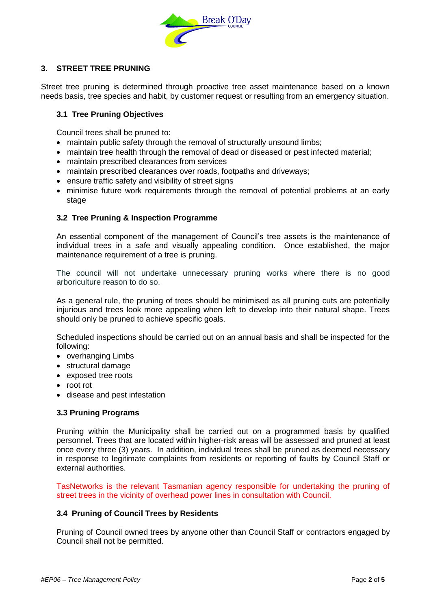

# **3. STREET TREE PRUNING**

Street tree pruning is determined through proactive tree asset maintenance based on a known needs basis, tree species and habit, by customer request or resulting from an emergency situation.

# **3.1 Tree Pruning Objectives**

Council trees shall be pruned to:

- maintain public safety through the removal of structurally unsound limbs;
- maintain tree health through the removal of dead or diseased or pest infected material;
- maintain prescribed clearances from services
- maintain prescribed clearances over roads, footpaths and driveways;
- ensure traffic safety and visibility of street signs
- minimise future work requirements through the removal of potential problems at an early stage

### **3.2 Tree Pruning & Inspection Programme**

An essential component of the management of Council's tree assets is the maintenance of individual trees in a safe and visually appealing condition. Once established, the major maintenance requirement of a tree is pruning.

The council will not undertake unnecessary pruning works where there is no good arboriculture reason to do so.

As a general rule, the pruning of trees should be minimised as all pruning cuts are potentially injurious and trees look more appealing when left to develop into their natural shape. Trees should only be pruned to achieve specific goals.

Scheduled inspections should be carried out on an annual basis and shall be inspected for the following:

- overhanging Limbs
- structural damage
- exposed tree roots
- root rot
- disease and pest infestation

#### **3.3 Pruning Programs**

Pruning within the Municipality shall be carried out on a programmed basis by qualified personnel. Trees that are located within higher-risk areas will be assessed and pruned at least once every three (3) years. In addition, individual trees shall be pruned as deemed necessary in response to legitimate complaints from residents or reporting of faults by Council Staff or external authorities.

TasNetworks is the relevant Tasmanian agency responsible for undertaking the pruning of street trees in the vicinity of overhead power lines in consultation with Council.

#### **3.4 Pruning of Council Trees by Residents**

Pruning of Council owned trees by anyone other than Council Staff or contractors engaged by Council shall not be permitted.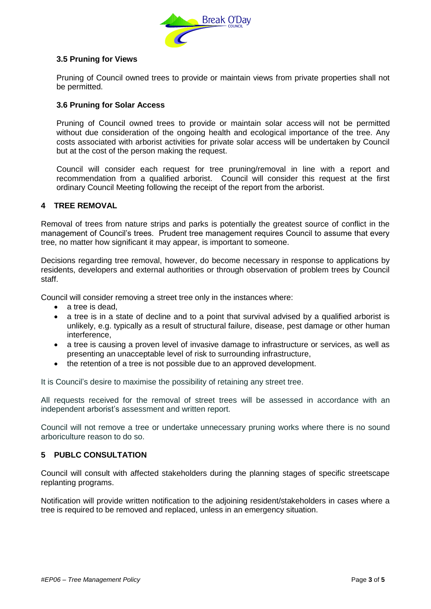

# **3.5 Pruning for Views**

Pruning of Council owned trees to provide or maintain views from private properties shall not be permitted.

### **3.6 Pruning for Solar Access**

Pruning of Council owned trees to provide or maintain solar access will not be permitted without due consideration of the ongoing health and ecological importance of the tree. Any costs associated with arborist activities for private solar access will be undertaken by Council but at the cost of the person making the request.

Council will consider each request for tree pruning/removal in line with a report and recommendation from a qualified arborist. Council will consider this request at the first ordinary Council Meeting following the receipt of the report from the arborist.

### **4 TREE REMOVAL**

Removal of trees from nature strips and parks is potentially the greatest source of conflict in the management of Council's trees. Prudent tree management requires Council to assume that every tree, no matter how significant it may appear, is important to someone.

Decisions regarding tree removal, however, do become necessary in response to applications by residents, developers and external authorities or through observation of problem trees by Council staff.

Council will consider removing a street tree only in the instances where:

- $\bullet$  a tree is dead.
- a tree is in a state of decline and to a point that survival advised by a qualified arborist is unlikely, e.g. typically as a result of structural failure, disease, pest damage or other human interference,
- a tree is causing a proven level of invasive damage to infrastructure or services, as well as presenting an unacceptable level of risk to surrounding infrastructure,
- the retention of a tree is not possible due to an approved development.

It is Council's desire to maximise the possibility of retaining any street tree.

All requests received for the removal of street trees will be assessed in accordance with an independent arborist's assessment and written report.

Council will not remove a tree or undertake unnecessary pruning works where there is no sound arboriculture reason to do so.

# **5 PUBLC CONSULTATION**

Council will consult with affected stakeholders during the planning stages of specific streetscape replanting programs.

Notification will provide written notification to the adjoining resident/stakeholders in cases where a tree is required to be removed and replaced, unless in an emergency situation.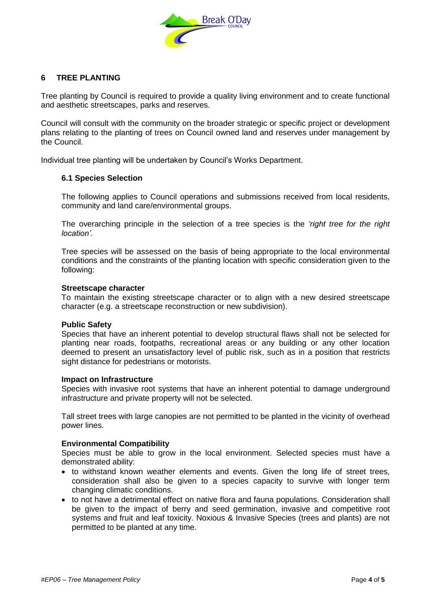

# **6 TREE PLANTING**

Tree planting by Council is required to provide a quality living environment and to create functional and aesthetic streetscapes, parks and reserves.

Council will consult with the community on the broader strategic or specific project or development plans relating to the planting of trees on Council owned land and reserves under management by the Council.

Individual tree planting will be undertaken by Council's Works Department.

#### **6.1 Species Selection**

The following applies to Council operations and submissions received from local residents, community and land care/environmental groups.

The overarching principle in the selection of a tree species is the *'right tree for the right location'.*

Tree species will be assessed on the basis of being appropriate to the local environmental conditions and the constraints of the planting location with specific consideration given to the following:

#### **Streetscape character**

To maintain the existing streetscape character or to align with a new desired streetscape character (e.g. a streetscape reconstruction or new subdivision).

#### **Public Safety**

Species that have an inherent potential to develop structural flaws shall not be selected for planting near roads, footpaths, recreational areas or any building or any other location deemed to present an unsatisfactory level of public risk, such as in a position that restricts sight distance for pedestrians or motorists.

#### **Impact on Infrastructure**

Species with invasive root systems that have an inherent potential to damage underground infrastructure and private property will not be selected.

Tall street trees with large canopies are not permitted to be planted in the vicinity of overhead power lines.

#### **Environmental Compatibility**

Species must be able to grow in the local environment. Selected species must have a demonstrated ability:

- to withstand known weather elements and events. Given the long life of street trees, consideration shall also be given to a species capacity to survive with longer term changing climatic conditions.
- to not have a detrimental effect on native flora and fauna populations. Consideration shall be given to the impact of berry and seed germination, invasive and competitive root systems and fruit and leaf toxicity. Noxious & Invasive Species (trees and plants) are not permitted to be planted at any time.